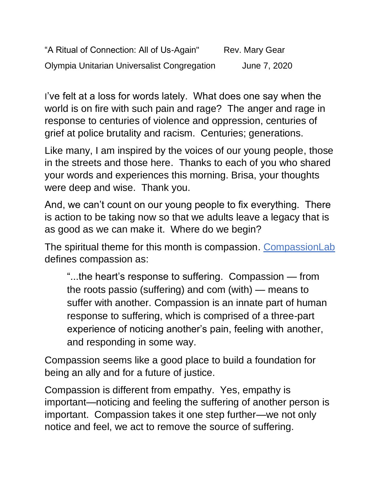"A Ritual of Connection: All of Us-Again" Rev. Mary Gear Olympia Unitarian Universalist Congregation June 7, 2020

I've felt at a loss for words lately. What does one say when the world is on fire with such pain and rage? The anger and rage in response to centuries of violence and oppression, centuries of grief at police brutality and racism. Centuries; generations.

Like many, I am inspired by the voices of our young people, those in the streets and those here. Thanks to each of you who shared your words and experiences this morning. Brisa, your thoughts were deep and wise. Thank you.

And, we can't count on our young people to fix everything. There is action to be taking now so that we adults leave a legacy that is as good as we can make it. Where do we begin?

The spiritual theme for this month is compassion. [CompassionLab](http://www.thecompassionlab.com/) defines compassion as:

"...the heart's response to suffering. Compassion — from the roots passio (suffering) and com (with) — means to suffer with another. Compassion is an innate part of human response to suffering, which is comprised of a three-part experience of noticing another's pain, feeling with another, and responding in some way.

Compassion seems like a good place to build a foundation for being an ally and for a future of justice.

Compassion is different from empathy. Yes, empathy is important—noticing and feeling the suffering of another person is important. Compassion takes it one step further—we not only notice and feel, we act to remove the source of suffering.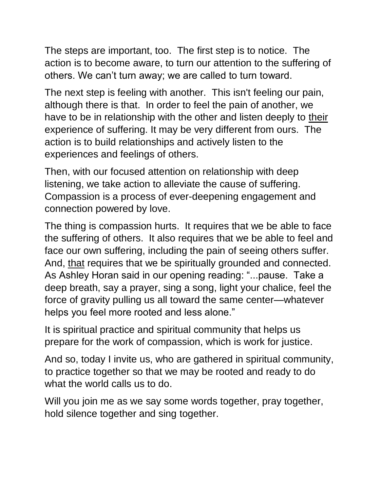The steps are important, too. The first step is to notice. The action is to become aware, to turn our attention to the suffering of others. We can't turn away; we are called to turn toward.

The next step is feeling with another. This isn't feeling our pain, although there is that. In order to feel the pain of another, we have to be in relationship with the other and listen deeply to their experience of suffering. It may be very different from ours. The action is to build relationships and actively listen to the experiences and feelings of others.

Then, with our focused attention on relationship with deep listening, we take action to alleviate the cause of suffering. Compassion is a process of ever-deepening engagement and connection powered by love.

The thing is compassion hurts. It requires that we be able to face the suffering of others. It also requires that we be able to feel and face our own suffering, including the pain of seeing others suffer. And, that requires that we be spiritually grounded and connected. As Ashley Horan said in our opening reading: "...pause. Take a deep breath, say a prayer, sing a song, light your chalice, feel the force of gravity pulling us all toward the same center—whatever helps you feel more rooted and less alone."

It is spiritual practice and spiritual community that helps us prepare for the work of compassion, which is work for justice.

And so, today I invite us, who are gathered in spiritual community, to practice together so that we may be rooted and ready to do what the world calls us to do.

Will you join me as we say some words together, pray together, hold silence together and sing together.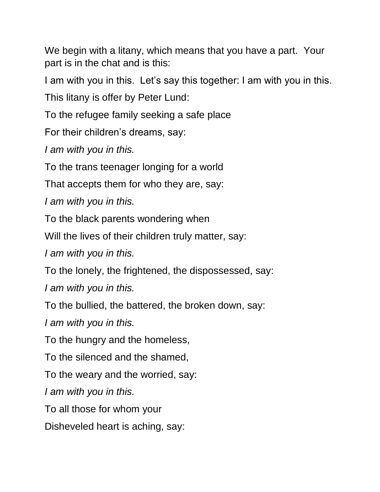We begin with a litany, which means that you have a part. Your part is in the chat and is this:

I am with you in this. Let's say this together: I am with you in this.

This litany is offer by Peter Lund:

To the refugee family seeking a safe place

For their children's dreams, say:

*I am with you in this.*

To the trans teenager longing for a world

That accepts them for who they are, say:

*I am with you in this.*

To the black parents wondering when

Will the lives of their children truly matter, say:

*I am with you in this.*

To the lonely, the frightened, the dispossessed, say:

*I am with you in this.*

To the bullied, the battered, the broken down, say:

*I am with you in this.*

To the hungry and the homeless,

To the silenced and the shamed,

To the weary and the worried, say:

*I am with you in this.*

To all those for whom your

Disheveled heart is aching, say: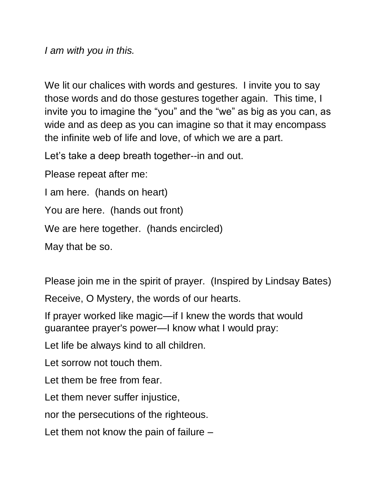*I am with you in this.*

We lit our chalices with words and gestures. I invite you to say those words and do those gestures together again. This time, I invite you to imagine the "you" and the "we" as big as you can, as wide and as deep as you can imagine so that it may encompass the infinite web of life and love, of which we are a part.

Let's take a deep breath together--in and out.

Please repeat after me:

I am here. (hands on heart)

You are here. (hands out front)

We are here together. (hands encircled)

May that be so.

Please join me in the spirit of prayer. (Inspired by Lindsay Bates)

Receive, O Mystery, the words of our hearts.

If prayer worked like magic—if I knew the words that would guarantee prayer's power—I know what I would pray:

Let life be always kind to all children.

Let sorrow not touch them.

Let them be free from fear.

Let them never suffer injustice,

nor the persecutions of the righteous.

Let them not know the pain of failure –